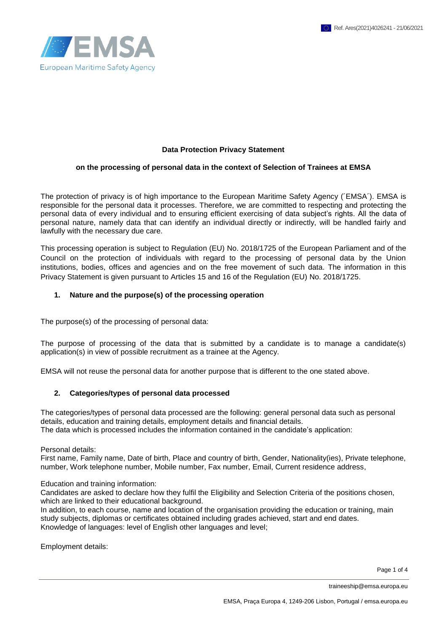



#### **Data Protection Privacy Statement**

#### **on the processing of personal data in the context of Selection of Trainees at EMSA**

The protection of privacy is of high importance to the European Maritime Safety Agency (´EMSA´). EMSA is responsible for the personal data it processes. Therefore, we are committed to respecting and protecting the personal data of every individual and to ensuring efficient exercising of data subject's rights. All the data of personal nature, namely data that can identify an individual directly or indirectly, will be handled fairly and lawfully with the necessary due care.

This processing operation is subject to Regulation (EU) No. 2018/1725 of the European Parliament and of the Council on the protection of individuals with regard to the processing of personal data by the Union institutions, bodies, offices and agencies and on the free movement of such data. The information in this Privacy Statement is given pursuant to Articles 15 and 16 of the Regulation (EU) No. 2018/1725.

#### **1. Nature and the purpose(s) of the processing operation**

The purpose(s) of the processing of personal data:

The purpose of processing of the data that is submitted by a candidate is to manage a candidate(s) application(s) in view of possible recruitment as a trainee at the Agency.

EMSA will not reuse the personal data for another purpose that is different to the one stated above.

#### **2. Categories/types of personal data processed**

The categories/types of personal data processed are the following: general personal data such as personal details, education and training details, employment details and financial details. The data which is processed includes the information contained in the candidate's application:

Personal details:

First name, Family name, Date of birth, Place and country of birth, Gender, Nationality(ies), Private telephone, number, Work telephone number, Mobile number, Fax number, Email, Current residence address,

Education and training information:

Candidates are asked to declare how they fulfil the Eligibility and Selection Criteria of the positions chosen, which are linked to their educational background.

In addition, to each course, name and location of the organisation providing the education or training, main study subjects, diplomas or certificates obtained including grades achieved, start and end dates. Knowledge of languages: level of English other languages and level;

Employment details:

Page 1 of 4

traineeship@emsa.europa.eu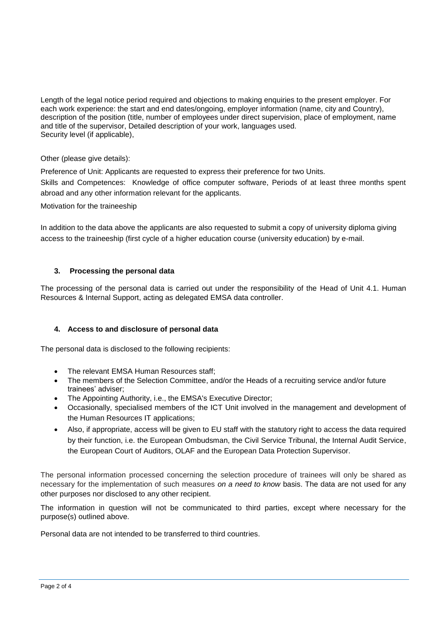Length of the legal notice period required and objections to making enquiries to the present employer. For each work experience: the start and end dates/ongoing, employer information (name, city and Country), description of the position (title, number of employees under direct supervision, place of employment, name and title of the supervisor, Detailed description of your work, languages used. Security level (if applicable),

Other (please give details):

Preference of Unit: Applicants are requested to express their preference for two Units.

Skills and Competences: Knowledge of office computer software, Periods of at least three months spent abroad and any other information relevant for the applicants.

Motivation for the traineeship

In addition to the data above the applicants are also requested to submit a copy of university diploma giving access to the traineeship (first cycle of a higher education course (university education) by e-mail.

## **3. Processing the personal data**

The processing of the personal data is carried out under the responsibility of the Head of Unit 4.1. Human Resources & Internal Support, acting as delegated EMSA data controller.

## **4. Access to and disclosure of personal data**

The personal data is disclosed to the following recipients:

- The relevant EMSA Human Resources staff;
- The members of the Selection Committee, and/or the Heads of a recruiting service and/or future trainees' adviser;
- The Appointing Authority, i.e., the EMSA's Executive Director;
- Occasionally, specialised members of the ICT Unit involved in the management and development of the Human Resources IT applications;
- Also, if appropriate, access will be given to EU staff with the statutory right to access the data required by their function, i.e. the European Ombudsman, the Civil Service Tribunal, the Internal Audit Service, the European Court of Auditors, OLAF and the European Data Protection Supervisor.

The personal information processed concerning the selection procedure of trainees will only be shared as necessary for the implementation of such measures *on a need to know* basis. The data are not used for any other purposes nor disclosed to any other recipient.

The information in question will not be communicated to third parties, except where necessary for the purpose(s) outlined above.

Personal data are not intended to be transferred to third countries.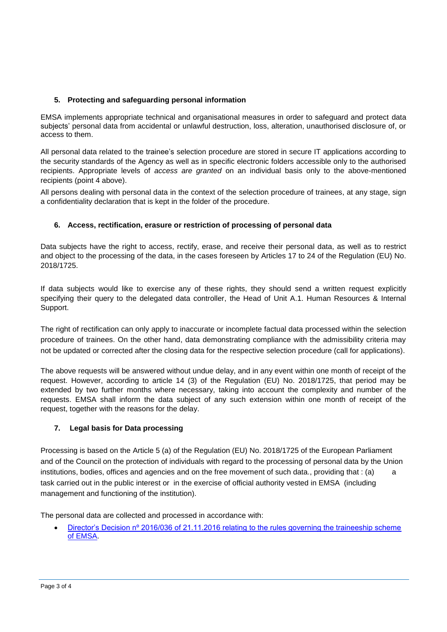# **5. Protecting and safeguarding personal information**

EMSA implements appropriate technical and organisational measures in order to safeguard and protect data subjects' personal data from accidental or unlawful destruction, loss, alteration, unauthorised disclosure of, or access to them.

All personal data related to the trainee's selection procedure are stored in secure IT applications according to the security standards of the Agency as well as in specific electronic folders accessible only to the authorised recipients. Appropriate levels of *access are granted* on an individual basis only to the above-mentioned recipients (point 4 above).

All persons dealing with personal data in the context of the selection procedure of trainees, at any stage, sign a confidentiality declaration that is kept in the folder of the procedure.

# **6. Access, rectification, erasure or restriction of processing of personal data**

Data subjects have the right to access, rectify, erase, and receive their personal data, as well as to restrict and object to the processing of the data, in the cases foreseen by Articles 17 to 24 of the Regulation (EU) No. 2018/1725.

If data subjects would like to exercise any of these rights, they should send a written request explicitly specifying their query to the delegated data controller, the Head of Unit A.1. Human Resources & Internal Support.

The right of rectification can only apply to inaccurate or incomplete factual data processed within the selection procedure of trainees. On the other hand, data demonstrating compliance with the admissibility criteria may not be updated or corrected after the closing data for the respective selection procedure (call for applications).

The above requests will be answered without undue delay, and in any event within one month of receipt of the request. However, according to article 14 (3) of the Regulation (EU) No. 2018/1725, that period may be extended by two further months where necessary, taking into account the complexity and number of the requests. EMSA shall inform the data subject of any such extension within one month of receipt of the request, together with the reasons for the delay.

# **7. Legal basis for Data processing**

Processing is based on the Article 5 (a) of the Regulation (EU) No. 2018/1725 of the European Parliament and of the Council on the protection of individuals with regard to the processing of personal data by the Union institutions, bodies, offices and agencies and on the free movement of such data., providing that : (a) a task carried out in the public interest or in the exercise of official authority vested in EMSA (including management and functioning of the institution).

The personal data are collected and processed in accordance with:

 [Director's Decision nº 2016/036 of 21.11.2016 relating to the rules governing the traineeship scheme](http://emsa.europa.eu/recruitment-info/trainees/download/4472/614/23.html)  [of EMSA.](http://emsa.europa.eu/recruitment-info/trainees/download/4472/614/23.html)